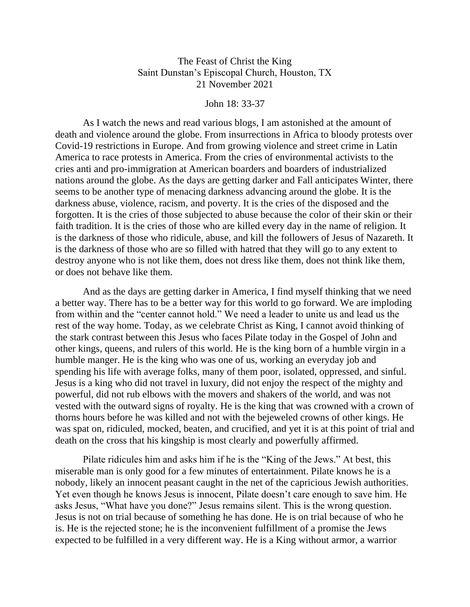## The Feast of Christ the King Saint Dunstan's Episcopal Church, Houston, TX 21 November 2021

## John 18: 33-37

As I watch the news and read various blogs, I am astonished at the amount of death and violence around the globe. From insurrections in Africa to bloody protests over Covid-19 restrictions in Europe. And from growing violence and street crime in Latin America to race protests in America. From the cries of environmental activists to the cries anti and pro-immigration at American boarders and boarders of industrialized nations around the globe. As the days are getting darker and Fall anticipates Winter, there seems to be another type of menacing darkness advancing around the globe. It is the darkness abuse, violence, racism, and poverty. It is the cries of the disposed and the forgotten. It is the cries of those subjected to abuse because the color of their skin or their faith tradition. It is the cries of those who are killed every day in the name of religion. It is the darkness of those who ridicule, abuse, and kill the followers of Jesus of Nazareth. It is the darkness of those who are so filled with hatred that they will go to any extent to destroy anyone who is not like them, does not dress like them, does not think like them, or does not behave like them.

And as the days are getting darker in America, I find myself thinking that we need a better way. There has to be a better way for this world to go forward. We are imploding from within and the "center cannot hold." We need a leader to unite us and lead us the rest of the way home. Today, as we celebrate Christ as King, I cannot avoid thinking of the stark contrast between this Jesus who faces Pilate today in the Gospel of John and other kings, queens, and rulers of this world. He is the king born of a humble virgin in a humble manger. He is the king who was one of us, working an everyday job and spending his life with average folks, many of them poor, isolated, oppressed, and sinful. Jesus is a king who did not travel in luxury, did not enjoy the respect of the mighty and powerful, did not rub elbows with the movers and shakers of the world, and was not vested with the outward signs of royalty. He is the king that was crowned with a crown of thorns hours before he was killed and not with the bejeweled crowns of other kings. He was spat on, ridiculed, mocked, beaten, and crucified, and yet it is at this point of trial and death on the cross that his kingship is most clearly and powerfully affirmed.

Pilate ridicules him and asks him if he is the "King of the Jews." At best, this miserable man is only good for a few minutes of entertainment. Pilate knows he is a nobody, likely an innocent peasant caught in the net of the capricious Jewish authorities. Yet even though he knows Jesus is innocent, Pilate doesn't care enough to save him. He asks Jesus, "What have you done?" Jesus remains silent. This is the wrong question. Jesus is not on trial because of something he has done. He is on trial because of who he is. He is the rejected stone; he is the inconvenient fulfillment of a promise the Jews expected to be fulfilled in a very different way. He is a King without armor, a warrior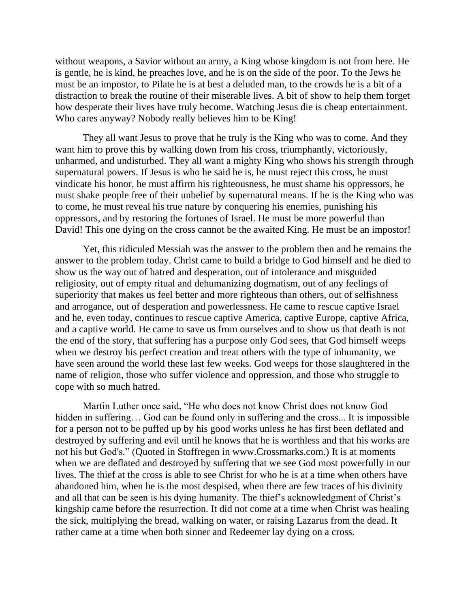without weapons, a Savior without an army, a King whose kingdom is not from here. He is gentle, he is kind, he preaches love, and he is on the side of the poor. To the Jews he must be an impostor, to Pilate he is at best a deluded man, to the crowds he is a bit of a distraction to break the routine of their miserable lives. A bit of show to help them forget how desperate their lives have truly become. Watching Jesus die is cheap entertainment. Who cares anyway? Nobody really believes him to be King!

They all want Jesus to prove that he truly is the King who was to come. And they want him to prove this by walking down from his cross, triumphantly, victoriously, unharmed, and undisturbed. They all want a mighty King who shows his strength through supernatural powers. If Jesus is who he said he is, he must reject this cross, he must vindicate his honor, he must affirm his righteousness, he must shame his oppressors, he must shake people free of their unbelief by supernatural means. If he is the King who was to come, he must reveal his true nature by conquering his enemies, punishing his oppressors, and by restoring the fortunes of Israel. He must be more powerful than David! This one dying on the cross cannot be the awaited King. He must be an impostor!

Yet, this ridiculed Messiah was the answer to the problem then and he remains the answer to the problem today. Christ came to build a bridge to God himself and he died to show us the way out of hatred and desperation, out of intolerance and misguided religiosity, out of empty ritual and dehumanizing dogmatism, out of any feelings of superiority that makes us feel better and more righteous than others, out of selfishness and arrogance, out of desperation and powerlessness. He came to rescue captive Israel and he, even today, continues to rescue captive America, captive Europe, captive Africa, and a captive world. He came to save us from ourselves and to show us that death is not the end of the story, that suffering has a purpose only God sees, that God himself weeps when we destroy his perfect creation and treat others with the type of inhumanity, we have seen around the world these last few weeks. God weeps for those slaughtered in the name of religion, those who suffer violence and oppression, and those who struggle to cope with so much hatred.

Martin Luther once said, "He who does not know Christ does not know God hidden in suffering... God can be found only in suffering and the cross... It is impossible for a person not to be puffed up by his good works unless he has first been deflated and destroyed by suffering and evil until he knows that he is worthless and that his works are not his but God's." (Quoted in Stoffregen in www.Crossmarks.com.) It is at moments when we are deflated and destroyed by suffering that we see God most powerfully in our lives. The thief at the cross is able to see Christ for who he is at a time when others have abandoned him, when he is the most despised, when there are few traces of his divinity and all that can be seen is his dying humanity. The thief's acknowledgment of Christ's kingship came before the resurrection. It did not come at a time when Christ was healing the sick, multiplying the bread, walking on water, or raising Lazarus from the dead. It rather came at a time when both sinner and Redeemer lay dying on a cross.